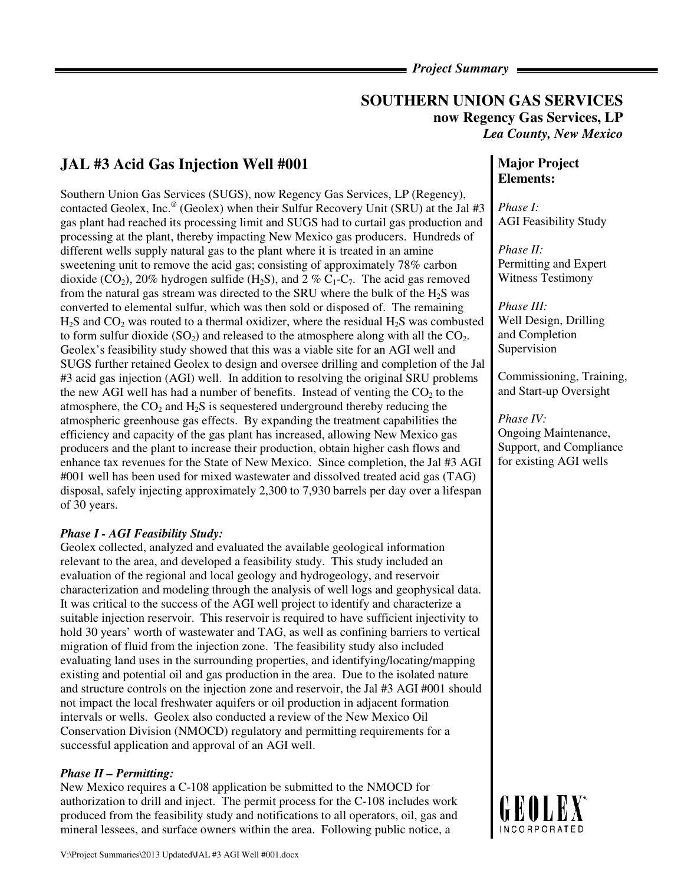### *Project Summary*

# **SOUTHERN UNION GAS SERVICES now Regency Gas Services, LP**  *Lea County, New Mexico*

# **JAL #3 Acid Gas Injection Well #001**

Southern Union Gas Services (SUGS), now Regency Gas Services, LP (Regency), contacted Geolex, Inc.<sup>®</sup> (Geolex) when their Sulfur Recovery Unit (SRU) at the Jal #3 gas plant had reached its processing limit and SUGS had to curtail gas production and processing at the plant, thereby impacting New Mexico gas producers. Hundreds of different wells supply natural gas to the plant where it is treated in an amine sweetening unit to remove the acid gas; consisting of approximately 78% carbon dioxide (CO<sub>2</sub>), 20% hydrogen sulfide (H<sub>2</sub>S), and 2 % C<sub>1</sub>-C<sub>7</sub>. The acid gas removed from the natural gas stream was directed to the SRU where the bulk of the H2S was converted to elemental sulfur, which was then sold or disposed of. The remaining  $H<sub>2</sub>S$  and  $CO<sub>2</sub>$  was routed to a thermal oxidizer, where the residual  $H<sub>2</sub>S$  was combusted to form sulfur dioxide  $(SO_2)$  and released to the atmosphere along with all the  $CO<sub>2</sub>$ . Geolex's feasibility study showed that this was a viable site for an AGI well and SUGS further retained Geolex to design and oversee drilling and completion of the Jal #3 acid gas injection (AGI) well. In addition to resolving the original SRU problems the new AGI well has had a number of benefits. Instead of venting the  $CO<sub>2</sub>$  to the atmosphere, the  $CO<sub>2</sub>$  and  $H<sub>2</sub>S$  is sequestered underground thereby reducing the atmospheric greenhouse gas effects. By expanding the treatment capabilities the efficiency and capacity of the gas plant has increased, allowing New Mexico gas producers and the plant to increase their production, obtain higher cash flows and enhance tax revenues for the State of New Mexico. Since completion, the Jal #3 AGI #001 well has been used for mixed wastewater and dissolved treated acid gas (TAG) disposal, safely injecting approximately 2,300 to 7,930 barrels per day over a lifespan of 30 years.

## *Phase I - AGI Feasibility Study:*

Geolex collected, analyzed and evaluated the available geological information relevant to the area, and developed a feasibility study. This study included an evaluation of the regional and local geology and hydrogeology, and reservoir characterization and modeling through the analysis of well logs and geophysical data. It was critical to the success of the AGI well project to identify and characterize a suitable injection reservoir. This reservoir is required to have sufficient injectivity to hold 30 years' worth of wastewater and TAG, as well as confining barriers to vertical migration of fluid from the injection zone. The feasibility study also included evaluating land uses in the surrounding properties, and identifying/locating/mapping existing and potential oil and gas production in the area. Due to the isolated nature and structure controls on the injection zone and reservoir, the Jal #3 AGI #001 should not impact the local freshwater aquifers or oil production in adjacent formation intervals or wells. Geolex also conducted a review of the New Mexico Oil Conservation Division (NMOCD) regulatory and permitting requirements for a successful application and approval of an AGI well.

#### *Phase II – Permitting:*

New Mexico requires a C-108 application be submitted to the NMOCD for authorization to drill and inject. The permit process for the C-108 includes work produced from the feasibility study and notifications to all operators, oil, gas and mineral lessees, and surface owners within the area. Following public notice, a

# **Major Project Elements:**

*Phase I:*  AGI Feasibility Study

*Phase II:*  Permitting and Expert Witness Testimony

*Phase III:*  Well Design, Drilling and Completion Supervision

Commissioning, Training, and Start-up Oversight

*Phase IV:*  Ongoing Maintenance, Support, and Compliance for existing AGI wells